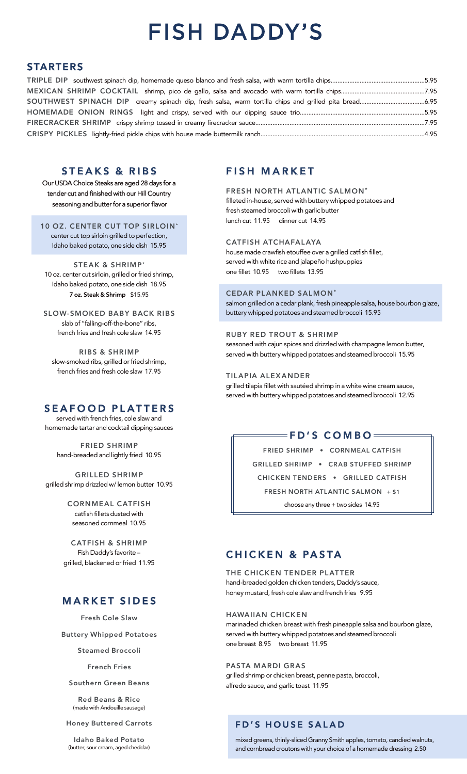### **FD'S HOUSE SALAD**

mixed greens, thinly-sliced Granny Smith apples, tomato, candied walnuts, and cornbread croutons with your choice of a homemade dressing 2.50

### **STEAKS & RIBS**

Our USDA Choice Steaks are aged 28 days for a tender cut and finished with our Hill Country seasoning and butter for a superior flavor

#### **10 OZ. CENTER CUT TOP SIRLOIN\***

center cut top sirloin grilled to perfection, Idaho baked potato, one side dish 15.95

**STEAK & SHRIMP\*** 10 oz. center cut sirloin, grilled or fried shrimp, Idaho baked potato, one side dish 18.95 **7 oz. Steak & Shrimp** \$15.95

**SLOW-SMOKED BABY BACK RIBS** slab of "falling-off-the-bone" ribs, french fries and fresh cole slaw 14.95

**RIBS & SHRIMP** slow-smoked ribs, grilled or fried shrimp, french fries and fresh cole slaw 17.95

### **FISH MARKET**

#### **FRESH NORTH ATLANTIC SALMON\***

filleted in-house, served with buttery whipped potatoes and fresh steamed broccoli with garlic butter lunch cut 11.95 dinner cut 14.95

#### **CATFISH ATCHAFALAYA**

house made crawfish etouffee over a grilled catfish fillet, served with white rice and jalapeño hushpuppies one fillet 10.95 two fillets 13.95

#### **CEDAR PLANKED SALMON\***

salmon grilled on a cedar plank, fresh pineapple salsa, house bourbon glaze, buttery whipped potatoes and steamed broccoli 15.95

#### **RUBY RED TROUT & SHRIMP**

seasoned with cajun spices and drizzled with champagne lemon butter, served with buttery whipped potatoes and steamed broccoli 15.95

#### **TILAPIA ALEXANDER**

grilled tilapia fillet with sautéed shrimp in a white wine cream sauce, served with buttery whipped potatoes and steamed broccoli 12.95

### $=$ FD'S COMBO $=$

**FRIED SHRIMP • CORNMEAL CATFISH GRILLED SHRIMP • CRAB STUFFED SHRIMP CHICKEN TENDERS • GRILLED CATFISH FRESH NORTH ATLANTIC SALMON + \$1** choose any three + two sides 14.95

### **CHICKEN & PASTA**

**THE CHICKEN TENDER PLATTER** hand-breaded golden chicken tenders, Daddy's sauce, honey mustard, fresh cole slaw and french fries 9.95

marinaded chicken breast with fresh pineapple salsa and bourbon glaze, served with buttery whipped potatoes and steamed broccoli one breast 8.95 two breast 11.95

**PASTA MARDI GRAS** grilled shrimp or chicken breast, penne pasta, broccoli, alfredo sauce, and garlic toast 11.95

### **SEAFOOD PLATTERS**

served with french fries, cole slaw and homemade tartar and cocktail dipping sauces

**FRIED SHRIMP** hand-breaded and lightly fried 10.95

**GRILLED SHRIMP** grilled shrimp drizzled w/ lemon butter 10.95

> **CORNMEAL CATFISH** catfish fillets dusted with seasoned cornmeal 10.95

**CATFISH & SHRIMP** Fish Daddy's favorite – grilled, blackened or fried 11.95

## **MARKET SIDES**

**Fresh Cole Slaw**

**Buttery Whipped Potatoes**

**Steamed Broccoli**

**French Fries**

**Southern Green Beans**

**Red Beans & Rice** (made with Andouille sausage)

**Honey Buttered Carrots**

**Idaho Baked Potato** (butter, sour cream, aged cheddar) **HAWAIIAN CHICKEN** 

# **FISH DADDY'S**

### **STARTERS**